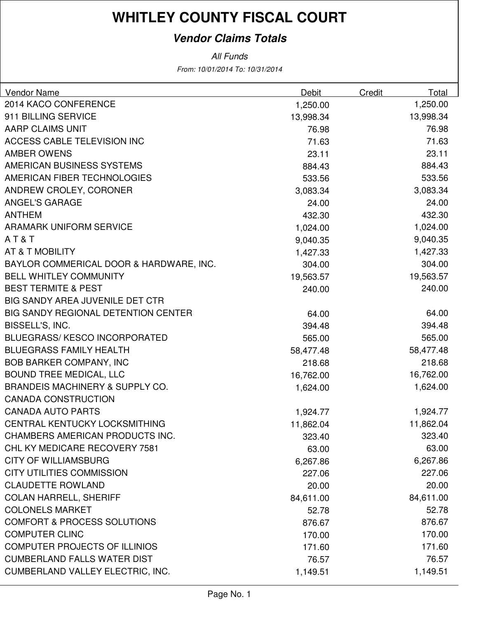#### **Vendor Claims Totals**

| <b>Vendor Name</b>                         | <b>Debit</b> | Credit | Total     |
|--------------------------------------------|--------------|--------|-----------|
| 2014 KACO CONFERENCE                       | 1,250.00     |        | 1,250.00  |
| 911 BILLING SERVICE                        | 13,998.34    |        | 13,998.34 |
| AARP CLAIMS UNIT                           | 76.98        |        | 76.98     |
| <b>ACCESS CABLE TELEVISION INC</b>         | 71.63        |        | 71.63     |
| <b>AMBER OWENS</b>                         | 23.11        |        | 23.11     |
| AMERICAN BUSINESS SYSTEMS                  | 884.43       |        | 884.43    |
| AMERICAN FIBER TECHNOLOGIES                | 533.56       |        | 533.56    |
| ANDREW CROLEY, CORONER                     | 3,083.34     |        | 3,083.34  |
| <b>ANGEL'S GARAGE</b>                      | 24.00        |        | 24.00     |
| <b>ANTHEM</b>                              | 432.30       |        | 432.30    |
| <b>ARAMARK UNIFORM SERVICE</b>             | 1,024.00     |        | 1,024.00  |
| AT&T                                       | 9,040.35     |        | 9,040.35  |
| AT & T MOBILITY                            | 1,427.33     |        | 1,427.33  |
| BAYLOR COMMERICAL DOOR & HARDWARE, INC.    | 304.00       |        | 304.00    |
| <b>BELL WHITLEY COMMUNITY</b>              | 19,563.57    |        | 19,563.57 |
| <b>BEST TERMITE &amp; PEST</b>             | 240.00       |        | 240.00    |
| BIG SANDY AREA JUVENILE DET CTR            |              |        |           |
| <b>BIG SANDY REGIONAL DETENTION CENTER</b> | 64.00        |        | 64.00     |
| BISSELL'S, INC.                            | 394.48       |        | 394.48    |
| <b>BLUEGRASS/KESCO INCORPORATED</b>        | 565.00       |        | 565.00    |
| <b>BLUEGRASS FAMILY HEALTH</b>             | 58,477.48    |        | 58,477.48 |
| <b>BOB BARKER COMPANY, INC</b>             | 218.68       |        | 218.68    |
| <b>BOUND TREE MEDICAL, LLC</b>             | 16,762.00    |        | 16,762.00 |
| <b>BRANDEIS MACHINERY &amp; SUPPLY CO.</b> | 1,624.00     |        | 1,624.00  |
| <b>CANADA CONSTRUCTION</b>                 |              |        |           |
| <b>CANADA AUTO PARTS</b>                   | 1,924.77     |        | 1,924.77  |
| CENTRAL KENTUCKY LOCKSMITHING              | 11,862.04    |        | 11,862.04 |
| CHAMBERS AMERICAN PRODUCTS INC.            | 323.40       |        | 323.40    |
| CHL KY MEDICARE RECOVERY 7581              | 63.00        |        | 63.00     |
| <b>CITY OF WILLIAMSBURG</b>                | 6,267.86     |        | 6,267.86  |
| <b>CITY UTILITIES COMMISSION</b>           | 227.06       |        | 227.06    |
| <b>CLAUDETTE ROWLAND</b>                   | 20.00        |        | 20.00     |
| <b>COLAN HARRELL, SHERIFF</b>              | 84,611.00    |        | 84,611.00 |
| <b>COLONELS MARKET</b>                     | 52.78        |        | 52.78     |
| <b>COMFORT &amp; PROCESS SOLUTIONS</b>     | 876.67       |        | 876.67    |
| <b>COMPUTER CLINC</b>                      | 170.00       |        | 170.00    |
| <b>COMPUTER PROJECTS OF ILLINIOS</b>       | 171.60       |        | 171.60    |
| <b>CUMBERLAND FALLS WATER DIST</b>         | 76.57        |        | 76.57     |
| CUMBERLAND VALLEY ELECTRIC, INC.           | 1,149.51     |        | 1,149.51  |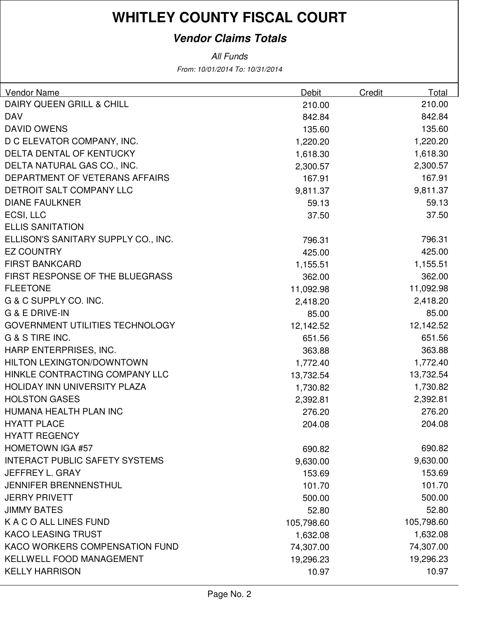#### **Vendor Claims Totals**

| <b>Vendor Name</b>                    | <b>Debit</b> | Credit | Total      |
|---------------------------------------|--------------|--------|------------|
| DAIRY QUEEN GRILL & CHILL             | 210.00       |        | 210.00     |
| <b>DAV</b>                            | 842.84       |        | 842.84     |
| <b>DAVID OWENS</b>                    | 135.60       |        | 135.60     |
| D C ELEVATOR COMPANY, INC.            | 1,220.20     |        | 1,220.20   |
| DELTA DENTAL OF KENTUCKY              | 1,618.30     |        | 1,618.30   |
| DELTA NATURAL GAS CO., INC.           | 2,300.57     |        | 2,300.57   |
| DEPARTMENT OF VETERANS AFFAIRS        | 167.91       |        | 167.91     |
| DETROIT SALT COMPANY LLC              | 9,811.37     |        | 9,811.37   |
| <b>DIANE FAULKNER</b>                 | 59.13        |        | 59.13      |
| ECSI, LLC                             | 37.50        |        | 37.50      |
| <b>ELLIS SANITATION</b>               |              |        |            |
| ELLISON'S SANITARY SUPPLY CO., INC.   | 796.31       |        | 796.31     |
| <b>EZ COUNTRY</b>                     | 425.00       |        | 425.00     |
| <b>FIRST BANKCARD</b>                 | 1,155.51     |        | 1,155.51   |
| FIRST RESPONSE OF THE BLUEGRASS       | 362.00       |        | 362.00     |
| <b>FLEETONE</b>                       | 11,092.98    |        | 11,092.98  |
| G & C SUPPLY CO. INC.                 | 2,418.20     |        | 2,418.20   |
| G & E DRIVE-IN                        | 85.00        |        | 85.00      |
| GOVERNMENT UTILITIES TECHNOLOGY       | 12,142.52    |        | 12,142.52  |
| G & S TIRE INC.                       | 651.56       |        | 651.56     |
| HARP ENTERPRISES, INC.                | 363.88       |        | 363.88     |
| <b>HILTON LEXINGTON/DOWNTOWN</b>      | 1,772.40     |        | 1,772.40   |
| HINKLE CONTRACTING COMPANY LLC        | 13,732.54    |        | 13,732.54  |
| HOLIDAY INN UNIVERSITY PLAZA          | 1,730.82     |        | 1,730.82   |
| <b>HOLSTON GASES</b>                  | 2,392.81     |        | 2,392.81   |
| HUMANA HEALTH PLAN INC                | 276.20       |        | 276.20     |
| <b>HYATT PLACE</b>                    | 204.08       |        | 204.08     |
| <b>HYATT REGENCY</b>                  |              |        |            |
| <b>HOMETOWN IGA #57</b>               | 690.82       |        | 690.82     |
| <b>INTERACT PUBLIC SAFETY SYSTEMS</b> | 9,630.00     |        | 9,630.00   |
| JEFFREY L. GRAY                       | 153.69       |        | 153.69     |
| <b>JENNIFER BRENNENSTHUL</b>          | 101.70       |        | 101.70     |
| <b>JERRY PRIVETT</b>                  | 500.00       |        | 500.00     |
| <b>JIMMY BATES</b>                    | 52.80        |        | 52.80      |
| K A C O ALL LINES FUND                | 105,798.60   |        | 105,798.60 |
| <b>KACO LEASING TRUST</b>             | 1,632.08     |        | 1,632.08   |
| <b>KACO WORKERS COMPENSATION FUND</b> | 74,307.00    |        | 74,307.00  |
| KELLWELL FOOD MANAGEMENT              | 19,296.23    |        | 19,296.23  |
| <b>KELLY HARRISON</b>                 | 10.97        |        | 10.97      |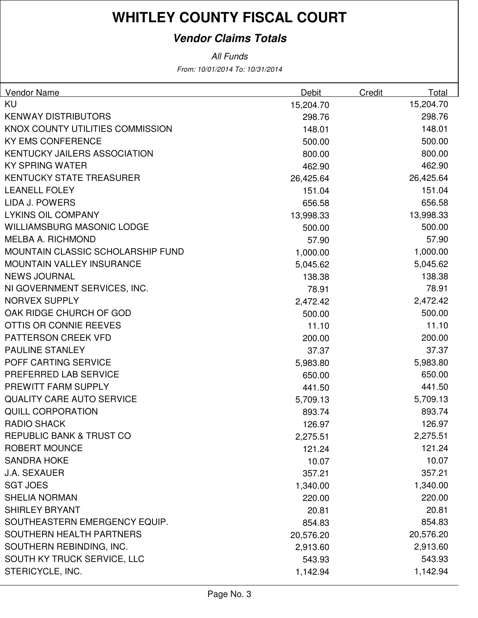#### **Vendor Claims Totals**

| <b>Vendor Name</b>                  | Debit     | Credit | Total     |
|-------------------------------------|-----------|--------|-----------|
| KU                                  | 15,204.70 |        | 15,204.70 |
| <b>KENWAY DISTRIBUTORS</b>          | 298.76    |        | 298.76    |
| KNOX COUNTY UTILITIES COMMISSION    | 148.01    |        | 148.01    |
| <b>KY EMS CONFERENCE</b>            | 500.00    |        | 500.00    |
| <b>KENTUCKY JAILERS ASSOCIATION</b> | 800.00    |        | 800.00    |
| <b>KY SPRING WATER</b>              | 462.90    |        | 462.90    |
| <b>KENTUCKY STATE TREASURER</b>     | 26,425.64 |        | 26,425.64 |
| <b>LEANELL FOLEY</b>                | 151.04    |        | 151.04    |
| LIDA J. POWERS                      | 656.58    |        | 656.58    |
| <b>LYKINS OIL COMPANY</b>           | 13,998.33 |        | 13,998.33 |
| <b>WILLIAMSBURG MASONIC LODGE</b>   | 500.00    |        | 500.00    |
| <b>MELBA A. RICHMOND</b>            | 57.90     |        | 57.90     |
| MOUNTAIN CLASSIC SCHOLARSHIP FUND   | 1,000.00  |        | 1,000.00  |
| <b>MOUNTAIN VALLEY INSURANCE</b>    | 5,045.62  |        | 5,045.62  |
| <b>NEWS JOURNAL</b>                 | 138.38    |        | 138.38    |
| NI GOVERNMENT SERVICES, INC.        | 78.91     |        | 78.91     |
| <b>NORVEX SUPPLY</b>                | 2,472.42  |        | 2,472.42  |
| OAK RIDGE CHURCH OF GOD             | 500.00    |        | 500.00    |
| OTTIS OR CONNIE REEVES              | 11.10     |        | 11.10     |
| PATTERSON CREEK VFD                 | 200.00    |        | 200.00    |
| <b>PAULINE STANLEY</b>              | 37.37     |        | 37.37     |
| POFF CARTING SERVICE                | 5,983.80  |        | 5,983.80  |
| PREFERRED LAB SERVICE               | 650.00    |        | 650.00    |
| PREWITT FARM SUPPLY                 | 441.50    |        | 441.50    |
| <b>QUALITY CARE AUTO SERVICE</b>    | 5,709.13  |        | 5,709.13  |
| <b>QUILL CORPORATION</b>            | 893.74    |        | 893.74    |
| <b>RADIO SHACK</b>                  | 126.97    |        | 126.97    |
| <b>REPUBLIC BANK &amp; TRUST CO</b> | 2,275.51  |        | 2,275.51  |
| <b>ROBERT MOUNCE</b>                | 121.24    |        | 121.24    |
| <b>SANDRA HOKE</b>                  | 10.07     |        | 10.07     |
| <b>J.A. SEXAUER</b>                 | 357.21    |        | 357.21    |
| <b>SGT JOES</b>                     | 1,340.00  |        | 1,340.00  |
| <b>SHELIA NORMAN</b>                | 220.00    |        | 220.00    |
| <b>SHIRLEY BRYANT</b>               | 20.81     |        | 20.81     |
| SOUTHEASTERN EMERGENCY EQUIP.       | 854.83    |        | 854.83    |
| <b>SOUTHERN HEALTH PARTNERS</b>     | 20,576.20 |        | 20,576.20 |
| SOUTHERN REBINDING, INC.            | 2,913.60  |        | 2,913.60  |
| SOUTH KY TRUCK SERVICE, LLC         | 543.93    |        | 543.93    |
| STERICYCLE, INC.                    | 1,142.94  |        | 1,142.94  |